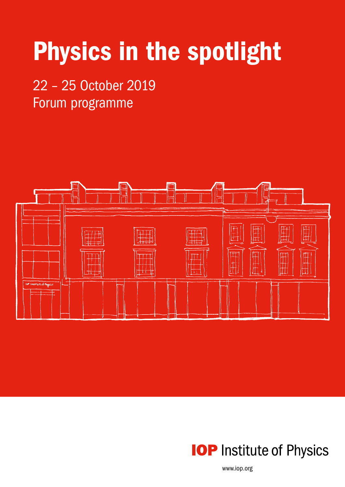# Physics in the spotlight

## 22 – 25 October 2019 Forum programme





www.iop.org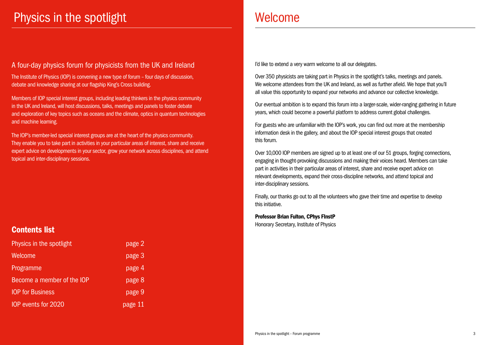## Physics in the spotlight Nelson Controller Melcome

## A four-day physics forum for physicists from the UK and Ireland

The Institute of Physics (IOP) is convening a new type of forum – four days of discussion, debate and knowledge sharing at our flagship King's Cross building.

Members of IOP special interest groups, including leading thinkers in the physics community in the UK and Ireland, will host discussions, talks, meetings and panels to foster debate and exploration of key topics such as oceans and the climate, optics in quantum technologies and machine learning.

The IOP's member-led special interest groups are at the heart of the physics community. They enable you to take part in activities in your particular areas of interest, share and receive expert advice on developments in your sector, grow your network across disciplines, and attend topical and inter-disciplinary sessions.

Over 350 physicists are taking part in Physics in the spotlight's talks, meetings and panels. We welcome attendees from the UK and Ireland, as well as further afield. We hope that you'll all value this opportunity to expand your networks and advance our collective knowledge.

Our eventual ambition is to expand this forum into a larger-scale, wider-ranging gathering in future years, which could become a powerful platform to address current global challenges.

For guests who are unfamiliar with the IOP's work, you can find out more at the membership information desk in the gallery, and about the IOP special interest groups that created this forum.

Over 10,000 IOP members are signed up to at least one of our 51 groups, forging connections, engaging in thought-provoking discussions and making their voices heard. Members can take part in activities in their particular areas of interest, share and receive expert advice on relevant developments, expand their cross-discipline networks, and attend topical and inter-disciplinary sessions.

Finally, our thanks go out to all the volunteers who gave their time and expertise to develop this initiative.

Professor Brian Fulton, CPhys FInstP

Honorary Secretary, Institute of Physics

## Contents list

| Physics in the spotlight   | page 2  |
|----------------------------|---------|
| Welcome                    | page 3  |
| Programme                  | page 4  |
| Become a member of the IOP | page 8  |
| <b>IOP for Business</b>    | page 9  |
| <b>IOP</b> events for 2020 | page 11 |

I'd like to extend a very warm welcome to all our delegates.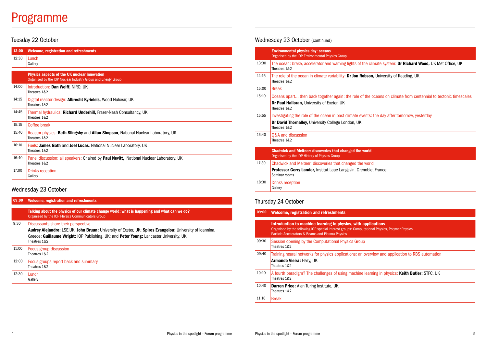## Programme

## Tuesday 22 October

### 09:00 Welcome, registration and refreshments Talking about the physics of our climate change world: what is happening and what can we do? Organised by the IOP Physics Communicators Group 9:30 | Discussants share their perspective Audrey Alejandro: LSE,UK; John Bruun: University of Exeter, UK; Spiros Evangelou: University of Ioannina, Greece; Guillaume Wright: IOP Publishing, UK; and Peter Young: Lancaster University, UK Theatres 1&2

| 12:00 | <b>Welcome, registration and refreshments</b>                                                                       |
|-------|---------------------------------------------------------------------------------------------------------------------|
| 12:30 | Lunch<br>Gallery                                                                                                    |
|       | <b>Physics aspects of the UK nuclear innovation</b><br>Organised by the IOP Nuclear Industry Group and Energy Group |
| 14:00 | Introduction: Dan Wolff, NIRO, UK<br>Theatres 1&2                                                                   |
| 14:15 | Digital reactor design: Albrecht Kyrieleis, Wood Nulcear, UK<br>Theatres 1&2                                        |
| 14:45 | Thermal hydraulics: Richard Underhill, Frazer-Nash Consultancy, UK<br>Theatres 1&2                                  |
| 15:15 | Coffee break                                                                                                        |
| 15:40 | Reactor physics: Beth Slingsby and Allan Simpson, National Nuclear Laboratory, UK<br>Theatres 1&2                   |
| 16:10 | <b>Fuels: James Gath and Joel Lucas, National Nuclear Laboratory, UK</b><br>Theatres 1&2                            |
| 16:40 | Panel discussion: all speakers: Chaired by Paul Nevitt, National Nuclear Laboratory, UK<br>Theatres 1&2             |
| 17:00 | <b>Drinks reception</b><br>Gallery                                                                                  |

### Wednesday 23 October

| 11:00 | Focus group discussion<br>Theatres 1&2               |
|-------|------------------------------------------------------|
| 12:00 | Focus groups report back and summary<br>Theatres 1&2 |
| 12:30 | Lunch<br>Gallery                                     |

## Wednesday 23 October (continued)

|       | <b>Environmental physics day: oceans</b><br>Organised by the IOP Environmental Physics Group                                                  |
|-------|-----------------------------------------------------------------------------------------------------------------------------------------------|
| 13:30 | The ocean: brake, accelerator and warning lights of the cline<br>Theatres 1&2                                                                 |
| 14:15 | The role of the ocean in climate variability: Dr Jon Robson,<br>Theatres 1&2                                                                  |
| 15:00 | <b>Break</b>                                                                                                                                  |
| 15:10 | Oceans apart then back together again: the role of the or<br><b>Dr Paul Halloran, University of Exeter, UK</b><br>Theatres 1&2                |
| 15:55 | Investigating the role of the ocean in past climate events: t<br>Dr David Thornalley, University College London, UK<br>Theatres 1&2           |
| 16:40 | <b>Q&amp;A and discussion</b><br>Theatres 1&2                                                                                                 |
|       | <b>Chadwick and Meitner: discoveries that changed the world</b><br>Organised by the IOP History of Physics Group                              |
| 17:30 | Chadwick and Meitner: discoveries that changed the world<br><b>Professor Gerry Lander, Institut Laue Langevin, Grenoble,</b><br>Seminar rooms |
| 18:30 | Drinks reception<br>Gallery                                                                                                                   |

## Thursday 24 October

| 09:00 | <b>Welcome, registration and refreshments</b>                                                                                                                                |  |
|-------|------------------------------------------------------------------------------------------------------------------------------------------------------------------------------|--|
|       | Introduction to machine learning in physics, with ap<br>Organised by the following IOP special interest groups: Computat<br>Particle Accelerators & Beams and Plasma Physics |  |
| 09:30 | Session opening by the Computational Physics Group<br>Theatres 1&2                                                                                                           |  |
| 09:40 | Training neural networks for physics applications: an ov<br>Armando Vieira: Hazy, UK<br>Theatres 1&2                                                                         |  |
| 10:10 | A fourth paradigm? The challenges of using machine le<br>Theatres 1&2                                                                                                        |  |
| 10:40 | <b>Darren Price:</b> Alan Turing Institute, UK<br>Theatres 1&2                                                                                                               |  |
| 11:10 | <b>Break</b>                                                                                                                                                                 |  |

#### climate system: Dr Richard Wood, UK Met Office, UK

son, University of Reading, UK

ne oceans on climate from centennial to tectonic timescales

ts: the day after tomorrow, yesterday

ble, France

**plications** tional Physics, Polymer Physics,

verview and application to RBS automation

earning in physics: Keith Butler: STFC, UK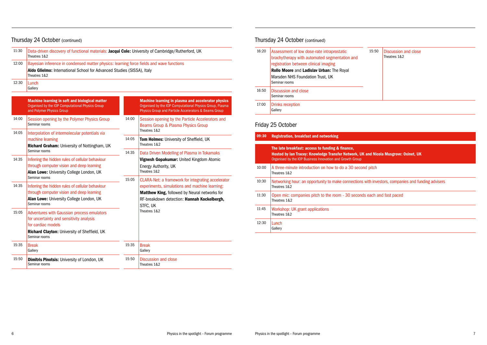## Thursday 24 October (continued)

## Friday 25 October

| 09:30 | Registration, breakfast and networking                                                                                                                                               |  |
|-------|--------------------------------------------------------------------------------------------------------------------------------------------------------------------------------------|--|
|       | The late breakfast: access to funding & finance,<br><b>Hosted by lan Tracey: Knowledge Transfer Network, UK and Nic</b><br>Organised by the IOP Business Innovation and Growth Group |  |
| 10:00 | A three-minute introduction on how to do a 30 second pitch<br>Theatres 1&2                                                                                                           |  |
| 10:30 | Networking hour: an opportunity to make connections with inve<br>Theatres 1&2                                                                                                        |  |
| 11:30 | Open mic: companies pitch to the room - 30 seconds each a<br>Theatres 1&2                                                                                                            |  |
| 11:45 | Workshop: UK grant applications<br>Theatres 1&2                                                                                                                                      |  |
| 12:30 | Lunch<br>Gallery                                                                                                                                                                     |  |

| 11:30 | Data-driven discovery of functional materials: Jacqui Cole: University of Cambridge/Rutherford, UK<br>Theatres 1&2                                                                   |       |                                                                                                                                                                                                                  |
|-------|--------------------------------------------------------------------------------------------------------------------------------------------------------------------------------------|-------|------------------------------------------------------------------------------------------------------------------------------------------------------------------------------------------------------------------|
| 12:00 | Bayesian inference in condensed matter physics: learning force fields and wave functions<br>Aldo Glielmo: International School for Advanced Studies (SISSA), Italy<br>Theatres 1&2   |       |                                                                                                                                                                                                                  |
| 12:30 | Lunch<br>Gallery                                                                                                                                                                     |       |                                                                                                                                                                                                                  |
|       | <b>Machine learning in soft and biological matter</b><br>Organised by the IOP Computational Physics Group<br>and Polymer Physics Group                                               |       | <b>Machine learning in plasma and accelerator physics</b><br>Organised by the IOP Computational Physics Group, Plasma<br>Physics Group and Particle Accelerators & Beams Group                                   |
| 14:00 | Session opening by the Polymer Physics Group<br>Seminar rooms                                                                                                                        | 14:00 | Session opening by the Particle Accelerators and<br>Beams Group & Plasma Physics Group<br>Theatres 1&2                                                                                                           |
| 14:05 | Interpolation of intermolecular potentials via<br>machine learning<br><b>Richard Graham: University of Nottingham, UK</b>                                                            | 14:05 | Tom Holmes: University of Sheffield, UK<br>Theatres 1&2                                                                                                                                                          |
| 14:35 | Seminar rooms<br>Inferring the hidden rules of cellular behaviour<br>through computer vision and deep learning<br>Alan Lowe: University College London, UK                           | 14:35 | Data Driven Modelling of Plasma in Tokamaks<br>Vignesh Gopakumar: United Kingdom Atomic<br>Energy Authority, UK<br>Theatres 1&2                                                                                  |
| 14:35 | Seminar rooms<br>Inferring the hidden rules of cellular behaviour<br>through computer vision and deep learning<br>Alan Lowe: University College London, UK<br>Seminar rooms          | 15:05 | CLARA-Net: a framework for integrating accelerator<br>experiments, simulations and machine learning:<br>Matthew King, followed by Neural networks for<br>RF-breakdown detection: Hannah Kockelbergh,<br>STFC, UK |
| 15:05 | Adventures with Gaussian process emulators<br>for uncertainty and sensitivity analysis<br>for cardiac models<br><b>Richard Clayton: University of Sheffield, UK</b><br>Seminar rooms |       | Theatres 1&2                                                                                                                                                                                                     |
| 15:35 | <b>Break</b><br>Gallery                                                                                                                                                              | 15:35 | <b>Break</b><br>Gallery                                                                                                                                                                                          |
| 15:50 | <b>Dimitris Pinotsis: University of London, UK</b><br>Seminar rooms                                                                                                                  | 15:50 | <b>Discussion and close</b><br>Theatres 1&2                                                                                                                                                                      |

## Thursday 24 October (continued)

| 16:20 | Assessment of low dose-rate intraprostatic<br>brachytherapy with automated segmentation and<br>registration between clinical imaging<br>Rollo Moore and Ladislav Urban: The Royal<br>Marsden NHS Foundation Trust, UK<br>Seminar rooms |
|-------|----------------------------------------------------------------------------------------------------------------------------------------------------------------------------------------------------------------------------------------|
| 16:50 | Discussion and close<br>Seminar rooms                                                                                                                                                                                                  |
| 17:00 | <b>Drinks reception</b><br>Gallery                                                                                                                                                                                                     |

| 15:50 | Discussion and close<br>Theatres 1&2 |
|-------|--------------------------------------|
|       |                                      |

### Ind Nicola Musgrove: Oxinet, UK

vith investors, companies and funding advisers

each and fast paced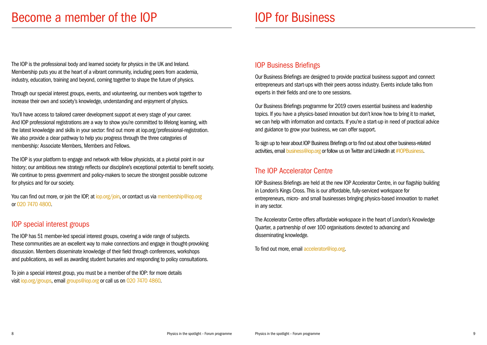The IOP is the professional body and learned society for physics in the UK and Ireland. Membership puts you at the heart of a vibrant community, including peers from academia, industry, education, training and beyond, coming together to shape the future of physics.

Through our special interest groups, events, and volunteering, our members work together to increase their own and society's knowledge, understanding and enjoyment of physics.

You can find out more, or join the IOP, at iop.org/join, or contact us via membership@iop.org or 020 7470 4800.

You'll have access to tailored career development support at every stage of your career. And IOP professional registrations are a way to show you're committed to lifelong learning, with the latest knowledge and skills in your sector: find out more at iop.org/professional-registration. We also provide a clear pathway to help you progress through the three categories of membership: Associate Members, Members and Fellows.

The IOP is your platform to engage and network with fellow physicists, at a pivotal point in our history; our ambitious new strategy reflects our discipline's exceptional potential to benefit society. We continue to press government and policy-makers to secure the strongest possible outcome for physics and for our society.

To sign up to hear about IOP Business Briefings or to find out about other business-related activities, email business@iop.org or follow us on Twitter and LinkedIn at #IOPBusiness.

## IOP special interest groups

The IOP has 51 member-led special interest groups, covering a wide range of subjects. These communities are an excellent way to make connections and engage in thought-provoking discussion. Members disseminate knowledge of their field through conferences, workshops and publications, as well as awarding student bursaries and responding to policy consultations.

To join a special interest group, you must be a member of the IOP: for more details visit iop.org/groups, email groups@iop.org or call us on 020 7470 4860.

## IOP Business Briefings

Our Business Briefings are designed to provide practical business support and connect entrepreneurs and start-ups with their peers across industry. Events include talks from experts in their fields and one to one sessions.

Our Business Briefings programme for 2019 covers essential business and leadership topics. If you have a physics-based innovation but don't know how to bring it to market, we can help with information and contacts. If you're a start-up in need of practical advice and guidance to grow your business, we can offer support.

## The IOP Accelerator Centre

IOP Business Briefings are held at the new IOP Accelerator Centre, in our flagship building in London's Kings Cross. This is our affordable, fully-serviced workspace for entrepreneurs, micro- and small businesses bringing physics-based innovation to market in any sector.

The Accelerator Centre offers affordable workspace in the heart of London's Knowledge Quarter, a partnership of over 100 organisations devoted to advancing and disseminating knowledge.

To find out more, email accelerator@iop.org.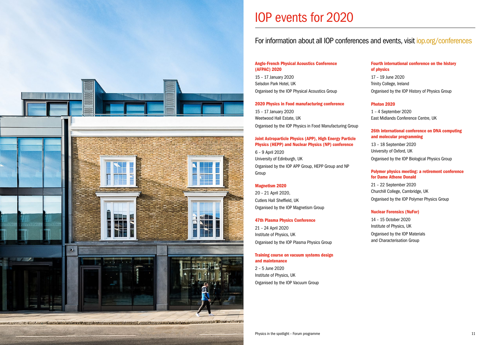

## IOP events for 2020

#### Anglo-French Physical Acoustics Conference (AFPAC) 2020

15 – 17 January 2020 Selsdon Park Hotel, UK Organised by the IOP Physical Acoustics Group

#### 2020 Physics in Food manufacturing conference

15 – 17 January 2020 Weetwood Hall Estate, UK Organised by the IOP Physics in Food Manufacturing Group

### Joint Astroparticle Physics (APP), High Energy Particle Physics (HEPP) and Nuclear Physics (NP) conference

6 – 9 April 2020 University of Edinburgh, UK Organised by the IOP APP Group, HEPP Group and NP Group

#### Magnetism 2020

20 – 21 April 2020, Cutlers Hall Sheffield, U K Organised by the IOP Magnetism Group

### 47th Plasma Physics Conference

21 – 24 April 2020 Institute of Physics, UK Organised by the IOP Plasma Physics Group

#### Training course on vacuum systems design and maintenance

2 – 5 June 2020 Institute of Physics, UK Organised by the IOP Vacuum Group

#### Fourth international conference on the history of physics

17 – 19 June 2020 Trinity College, Ireland Organised by the IOP History of Physics Group

#### Photon 2020

1 – 4 September 2020 East Midlands Conference Centre, UK

#### 26th international conference on DNA computing and molecular programming

13 – 18 September 2020 University of Oxford, UK Organised by the IOP Biological Physics Group

#### Polymer physics meeting: a retirement conference for Dame Athene Donald

21 – 22 September 2020 Churchill College, Cambridge, UK Organised by the IOP Polymer Physics Group

#### Nuclear Forensics (NuFor)

14 – 15 October 2020 Institute of Physics, UK Organised by the IOP Materials and Characterisation Group

## For information about all IOP conferences and events, visit iop.org/conferences